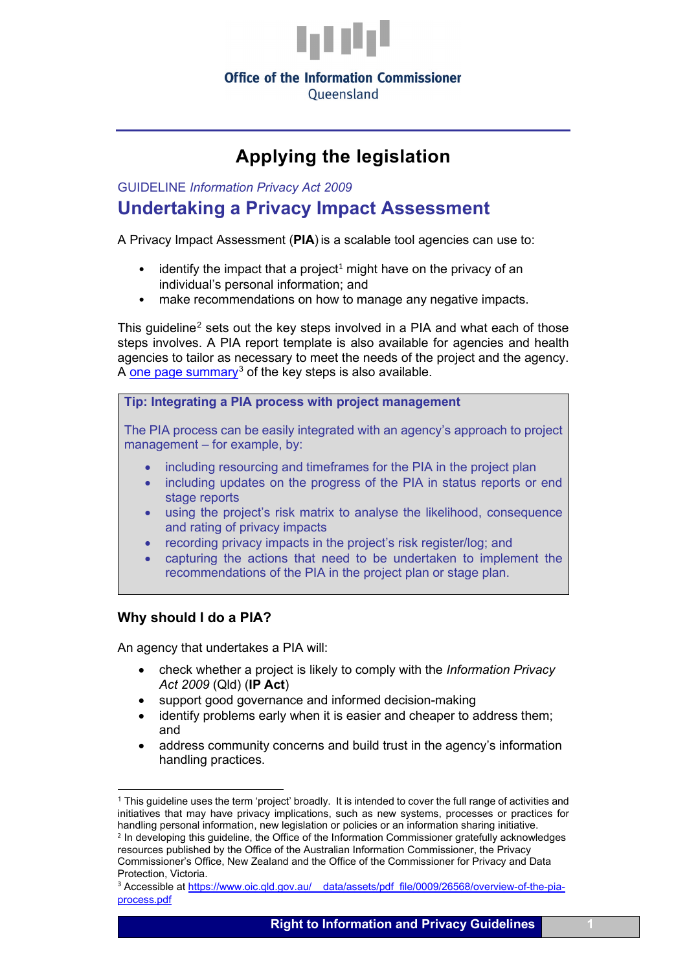

Oueensland

# **Applying the legislation**

GUIDELINE *Information Privacy Act 2009* **Undertaking a Privacy Impact Assessment**

A Privacy Impact Assessment (**PIA**) is a scalable tool agencies can use to:

- identify the impact that a project<sup>[1](#page-0-0)</sup> might have on the privacy of an individual's personal information; and
- make recommendations on how to manage any negative impacts.

This guideline<sup>[2](#page-0-1)</sup> sets out the key steps involved in a PIA and what each of those steps involves. A PIA report template is also available for agencies and health agencies to tailor as necessary to meet the needs of the project and the agency. A [one page summary](https://www.oic.qld.gov.au/__data/assets/pdf_file/0009/26568/overview-of-the-pia-process.pdf)<sup>[3](#page-0-2)</sup> of the key steps is also available.

**Tip: Integrating a PIA process with project management**

The PIA process can be easily integrated with an agency's approach to project management – for example, by:

- including resourcing and timeframes for the PIA in the project plan
- including updates on the progress of the PIA in status reports or end stage reports
- using the project's risk matrix to analyse the likelihood, consequence and rating of privacy impacts
- recording privacy impacts in the project's risk register/log; and
- capturing the actions that need to be undertaken to implement the recommendations of the PIA in the project plan or stage plan.

# **Why should I do a PIA?**

An agency that undertakes a PIA will:

- check whether a project is likely to comply with the *Information Privacy Act 2009* (Qld) (**IP Act**)
- support good governance and informed decision-making
- identify problems early when it is easier and cheaper to address them; and
- address community concerns and build trust in the agency's information handling practices.

<span id="page-0-1"></span><span id="page-0-0"></span><sup>1</sup> This guideline uses the term 'project' broadly. It is intended to cover the full range of activities and initiatives that may have privacy implications, such as new systems, processes or practices for handling personal information, new legislation or policies or an information sharing initiative. <sup>2</sup> In developing this guideline, the Office of the Information Commissioner gratefully acknowledges resources published by the Office of the Australian Information Commissioner, the Privacy Commissioner's Office, New Zealand and the Office of the Commissioner for Privacy and Data Protection, Victoria.

<span id="page-0-2"></span><sup>&</sup>lt;sup>3</sup> Accessible at https://www.oic.qld.gov.au/ data/assets/pdf file/0009/26568/overview-of-the-pia[process.pdf](https://www.oic.qld.gov.au/__data/assets/pdf_file/0009/26568/overview-of-the-pia-process.pdf)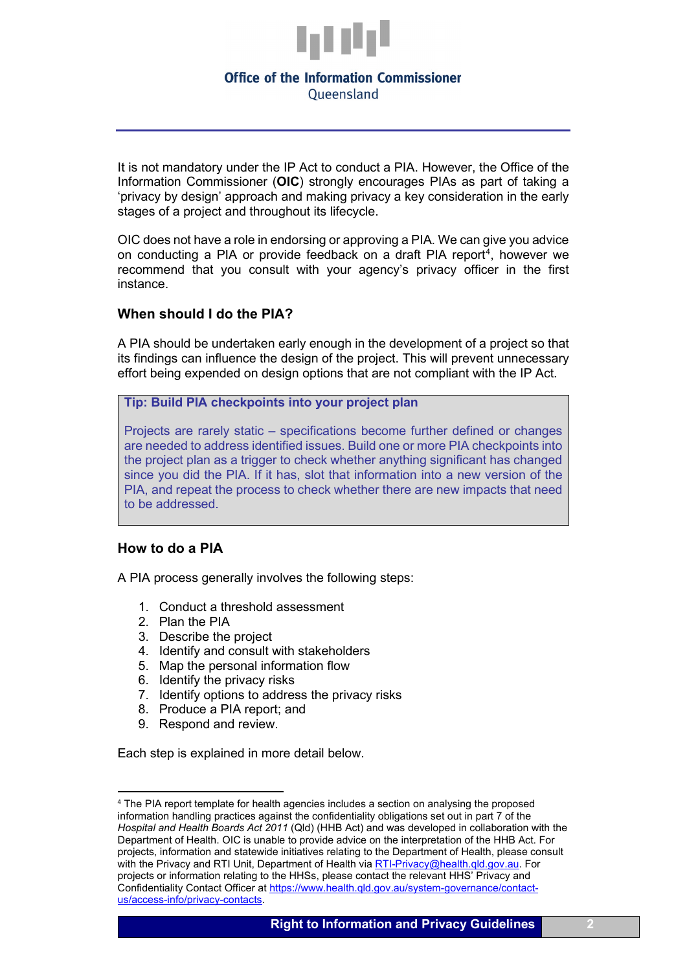

It is not mandatory under the IP Act to conduct a PIA. However, the Office of the Information Commissioner (**OIC**) strongly encourages PIAs as part of taking a 'privacy by design' approach and making privacy a key consideration in the early stages of a project and throughout its lifecycle.

OIC does not have a role in endorsing or approving a PIA. We can give you advice on conducting a PIA or provide feedback on a draft PIA report<sup>[4](#page-1-0)</sup>, however we recommend that you consult with your agency's privacy officer in the first instance.

# **When should I do the PIA?**

A PIA should be undertaken early enough in the development of a project so that its findings can influence the design of the project. This will prevent unnecessary effort being expended on design options that are not compliant with the IP Act.

#### **Tip: Build PIA checkpoints into your project plan**

Projects are rarely static – specifications become further defined or changes are needed to address identified issues. Build one or more PIA checkpoints into the project plan as a trigger to check whether anything significant has changed since you did the PIA. If it has, slot that information into a new version of the PIA, and repeat the process to check whether there are new impacts that need to be addressed.

# **How to do a PIA**

A PIA process generally involves the following steps:

- 1. Conduct a threshold assessment
- 2. Plan the PIA
- 3. Describe the project
- 4. Identify and consult with stakeholders
- 5. Map the personal information flow
- 6. Identify the privacy risks
- 7. Identify options to address the privacy risks
- 8. Produce a PIA report; and
- 9. Respond and review.

Each step is explained in more detail below.

<span id="page-1-0"></span><sup>4</sup> The PIA report template for health agencies includes a section on analysing the proposed information handling practices against the confidentiality obligations set out in part 7 of the *Hospital and Health Boards Act 2011* (Qld) (HHB Act) and was developed in collaboration with the Department of Health. OIC is unable to provide advice on the interpretation of the HHB Act. For projects, information and statewide initiatives relating to the Department of Health, please consult with the Privacy and RTI Unit, Department of Health via [RTI-Privacy@health.qld.gov.au.](mailto:RTI-Privacy@health.qld.gov.au) For projects or information relating to the HHSs, please contact the relevant HHS' Privacy and Confidentiality Contact Officer a[t https://www.health.qld.gov.au/system-governance/contact](https://www.health.qld.gov.au/system-governance/contact-us/access-info/privacy-contacts)[us/access-info/privacy-contacts.](https://www.health.qld.gov.au/system-governance/contact-us/access-info/privacy-contacts)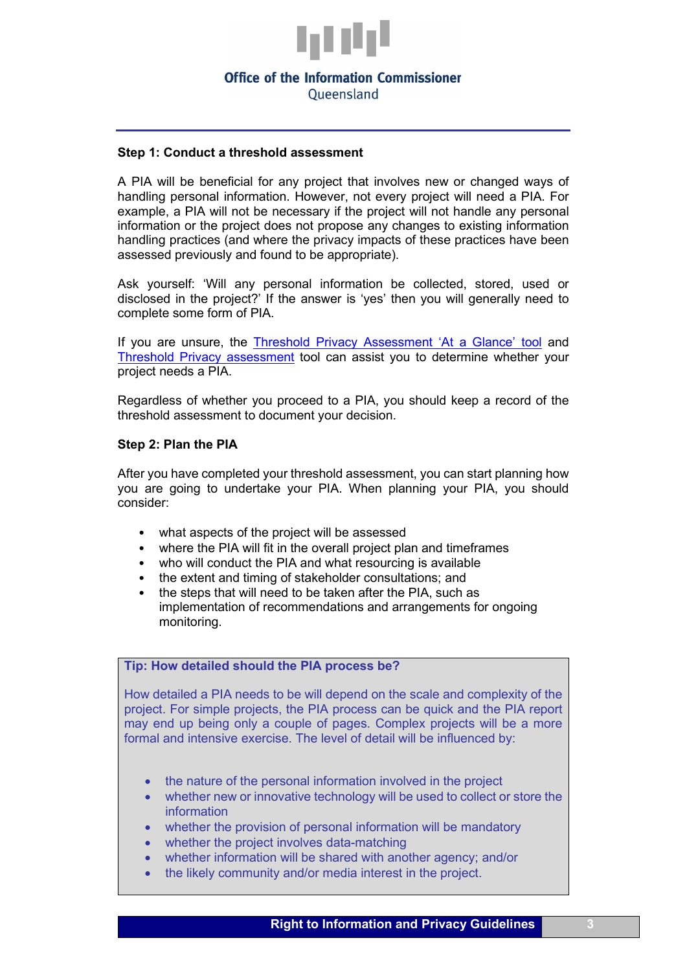

Oueensland

#### **Step 1: Conduct a threshold assessment**

A PIA will be beneficial for any project that involves new or changed ways of handling personal information. However, not every project will need a PIA. For example, a PIA will not be necessary if the project will not handle any personal information or the project does not propose any changes to existing information handling practices (and where the privacy impacts of these practices have been assessed previously and found to be appropriate).

Ask yourself: 'Will any personal information be collected, stored, used or disclosed in the project?' If the answer is 'yes' then you will generally need to complete some form of PIA.

If you are unsure, the [Threshold Privacy Assessment 'At a Glance' tool](https://www.oic.qld.gov.au/__data/assets/pdf_file/0013/51214/flyer-at-a-glance.pdf) and [Threshold Privacy assessment](https://www.oic.qld.gov.au/__data/assets/word_doc/0007/37087/template-threshold-privacy-assessment.dotx) tool can assist you to determine whether your project needs a PIA.

Regardless of whether you proceed to a PIA, you should keep a record of the threshold assessment to document your decision.

#### **Step 2: Plan the PIA**

After you have completed your threshold assessment, you can start planning how you are going to undertake your PIA. When planning your PIA, you should consider:

- what aspects of the project will be assessed
- where the PIA will fit in the overall project plan and timeframes
- who will conduct the PIA and what resourcing is available
- the extent and timing of stakeholder consultations; and
- the steps that will need to be taken after the PIA, such as implementation of recommendations and arrangements for ongoing monitoring.

# **Tip: How detailed should the PIA process be?**

How detailed a PIA needs to be will depend on the scale and complexity of the project. For simple projects, the PIA process can be quick and the PIA report may end up being only a couple of pages. Complex projects will be a more formal and intensive exercise. The level of detail will be influenced by:

- the nature of the personal information involved in the project
- whether new or innovative technology will be used to collect or store the information
- whether the provision of personal information will be mandatory
- whether the project involves data-matching
- whether information will be shared with another agency; and/or
- the likely community and/or media interest in the project.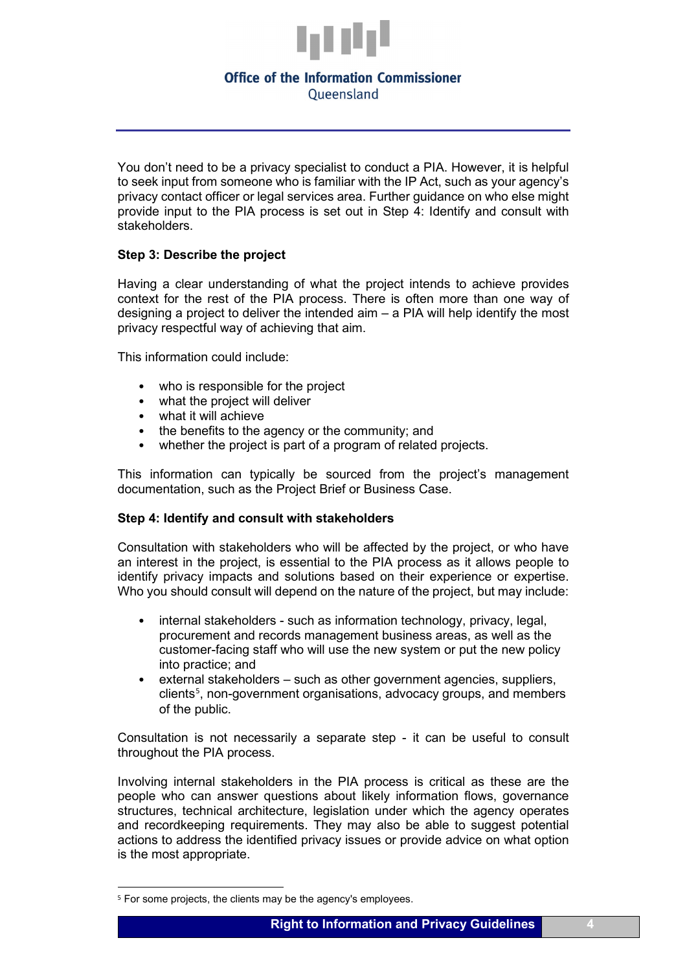

You don't need to be a privacy specialist to conduct a PIA. However, it is helpful to seek input from someone who is familiar with the IP Act, such as your agency's privacy contact officer or legal services area. Further guidance on who else might provide input to the PIA process is set out in Step 4: Identify and consult with stakeholders.

#### **Step 3: Describe the project**

Having a clear understanding of what the project intends to achieve provides context for the rest of the PIA process. There is often more than one way of designing a project to deliver the intended aim  $-$  a PIA will help identify the most privacy respectful way of achieving that aim.

This information could include:

- who is responsible for the project
- what the project will deliver
- what it will achieve
- the benefits to the agency or the community; and
- whether the project is part of a program of related projects.

This information can typically be sourced from the project's management documentation, such as the Project Brief or Business Case.

#### **Step 4: Identify and consult with stakeholders**

Consultation with stakeholders who will be affected by the project, or who have an interest in the project, is essential to the PIA process as it allows people to identify privacy impacts and solutions based on their experience or expertise. Who you should consult will depend on the nature of the project, but may include:

- internal stakeholders such as information technology, privacy, legal, procurement and records management business areas, as well as the customer-facing staff who will use the new system or put the new policy into practice; and
- external stakeholders such as other government agencies, suppliers, clients<sup>[5](#page-3-0)</sup>, non-government organisations, advocacy groups, and members of the public.

Consultation is not necessarily a separate step - it can be useful to consult throughout the PIA process.

Involving internal stakeholders in the PIA process is critical as these are the people who can answer questions about likely information flows, governance structures, technical architecture, legislation under which the agency operates and recordkeeping requirements. They may also be able to suggest potential actions to address the identified privacy issues or provide advice on what option is the most appropriate.

<span id="page-3-0"></span><sup>&</sup>lt;sup>5</sup> For some projects, the clients may be the agency's employees.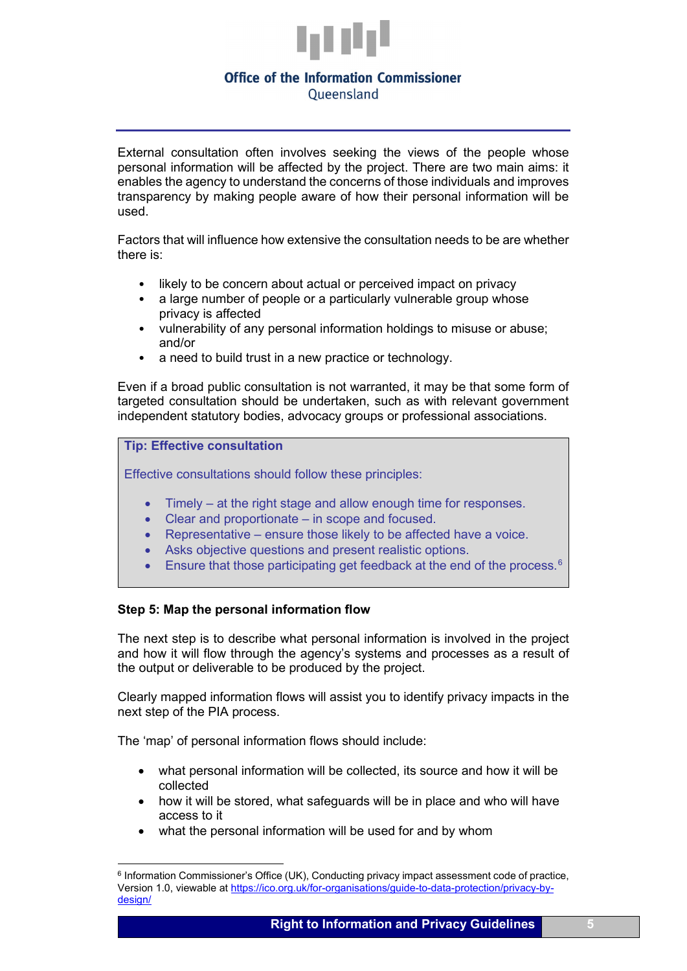

External consultation often involves seeking the views of the people whose personal information will be affected by the project. There are two main aims: it enables the agency to understand the concerns of those individuals and improves transparency by making people aware of how their personal information will be used.

Factors that will influence how extensive the consultation needs to be are whether there is:

- likely to be concern about actual or perceived impact on privacy
- a large number of people or a particularly vulnerable group whose privacy is affected
- vulnerability of any personal information holdings to misuse or abuse; and/or
- a need to build trust in a new practice or technology.

Even if a broad public consultation is not warranted, it may be that some form of targeted consultation should be undertaken, such as with relevant government independent statutory bodies, advocacy groups or professional associations.

#### **Tip: Effective consultation**

Effective consultations should follow these principles:

- Timely at the right stage and allow enough time for responses.
- Clear and proportionate in scope and focused.
- Representative ensure those likely to be affected have a voice.
- Asks objective questions and present realistic options.
- Ensure that those participating get feedback at the end of the process. $6$

# **Step 5: Map the personal information flow**

The next step is to describe what personal information is involved in the project and how it will flow through the agency's systems and processes as a result of the output or deliverable to be produced by the project.

Clearly mapped information flows will assist you to identify privacy impacts in the next step of the PIA process.

The 'map' of personal information flows should include:

- what personal information will be collected, its source and how it will be collected
- how it will be stored, what safeguards will be in place and who will have access to it
- what the personal information will be used for and by whom

<span id="page-4-0"></span><sup>&</sup>lt;sup>6</sup> Information Commissioner's Office (UK), Conducting privacy impact assessment code of practice, Version 1.0, viewable at [https://ico.org.uk/for-organisations/guide-to-data-protection/privacy-by](https://ico.org.uk/for-organisations/guide-to-data-protection/privacy-by-design/)[design/](https://ico.org.uk/for-organisations/guide-to-data-protection/privacy-by-design/)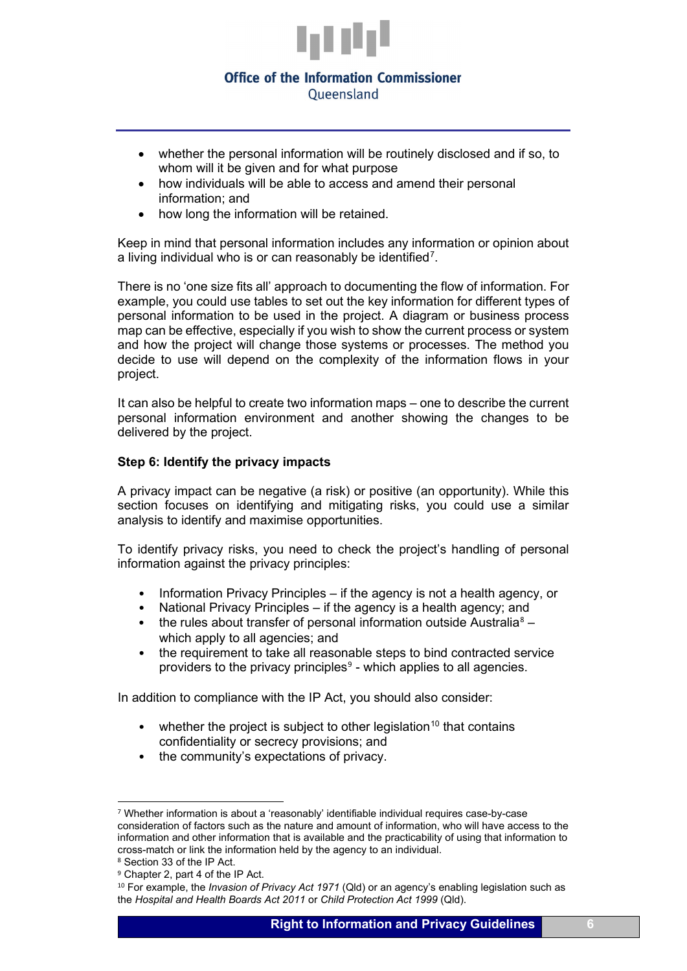

- whether the personal information will be routinely disclosed and if so, to whom will it be given and for what purpose
- how individuals will be able to access and amend their personal information; and
- how long the information will be retained.

Keep in mind that personal information includes any information or opinion about a living individual who is or can reasonably be identified<sup>[7](#page-5-0)</sup>.

There is no 'one size fits all' approach to documenting the flow of information. For example, you could use tables to set out the key information for different types of personal information to be used in the project. A diagram or business process map can be effective, especially if you wish to show the current process or system and how the project will change those systems or processes. The method you decide to use will depend on the complexity of the information flows in your project.

It can also be helpful to create two information maps – one to describe the current personal information environment and another showing the changes to be delivered by the project.

#### **Step 6: Identify the privacy impacts**

A privacy impact can be negative (a risk) or positive (an opportunity). While this section focuses on identifying and mitigating risks, you could use a similar analysis to identify and maximise opportunities.

To identify privacy risks, you need to check the project's handling of personal information against the privacy principles:

- Information Privacy Principles if the agency is not a health agency, or
- National Privacy Principles if the agency is a health agency; and
- the rules about transfer of personal information outside Australia<sup>[8](#page-5-1)</sup> which apply to all agencies; and
- the requirement to take all reasonable steps to bind contracted service providers to the privacy principles $9$  - which applies to all agencies.

In addition to compliance with the IP Act, you should also consider:

- whether the project is subject to other legislation<sup>[10](#page-5-3)</sup> that contains confidentiality or secrecy provisions; and
- the community's expectations of privacy.

<span id="page-5-0"></span><sup>7</sup> Whether information is about a 'reasonably' identifiable individual requires case-by-case consideration of factors such as the nature and amount of information, who will have access to the information and other information that is available and the practicability of using that information to cross-match or link the information held by the agency to an individual.

<span id="page-5-1"></span><sup>8</sup> Section 33 of the IP Act.

<span id="page-5-2"></span><sup>9</sup> Chapter 2, part 4 of the IP Act.

<span id="page-5-3"></span><sup>10</sup> For example, the *Invasion of Privacy Act 1971* (Qld) or an agency's enabling legislation such as the *Hospital and Health Boards Act 2011* or *Child Protection Act 1999* (Qld).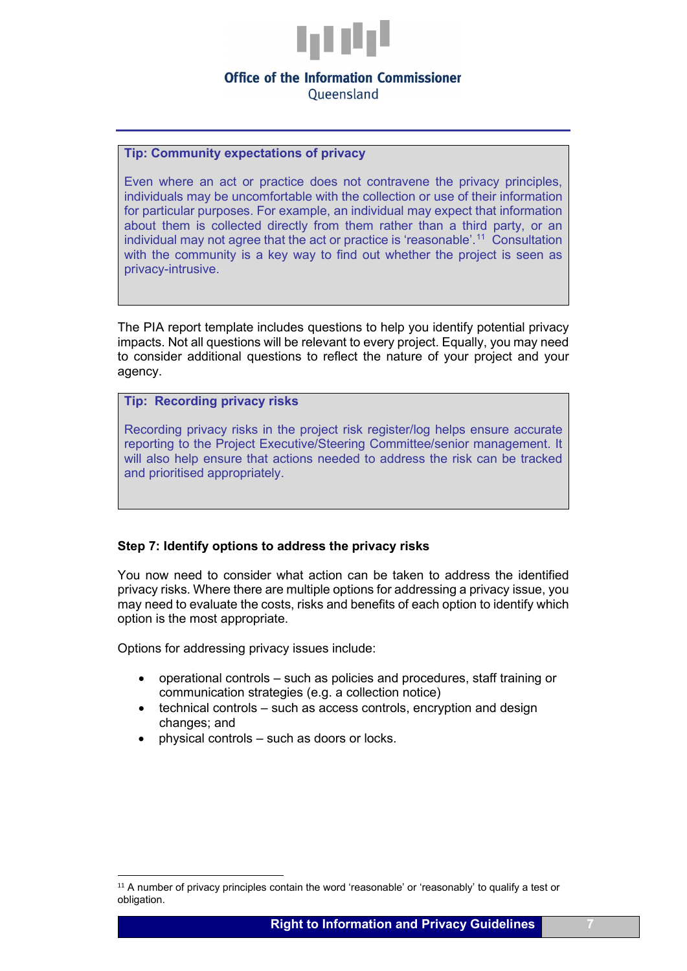

Oueensland

#### **Tip: Community expectations of privacy**

Even where an act or practice does not contravene the privacy principles, individuals may be uncomfortable with the collection or use of their information for particular purposes. For example, an individual may expect that information about them is collected directly from them rather than a third party, or an individual may not agree that the act or practice is 'reasonable'.<sup>11</sup> Consultation with the community is a key way to find out whether the project is seen as privacy-intrusive.

The PIA report template includes questions to help you identify potential privacy impacts. Not all questions will be relevant to every project. Equally, you may need to consider additional questions to reflect the nature of your project and your agency.

#### **Tip: Recording privacy risks**

Recording privacy risks in the project risk register/log helps ensure accurate reporting to the Project Executive/Steering Committee/senior management. It will also help ensure that actions needed to address the risk can be tracked and prioritised appropriately.

#### **Step 7: Identify options to address the privacy risks**

You now need to consider what action can be taken to address the identified privacy risks. Where there are multiple options for addressing a privacy issue, you may need to evaluate the costs, risks and benefits of each option to identify which option is the most appropriate.

Options for addressing privacy issues include:

- operational controls such as policies and procedures, staff training or communication strategies (e.g. a collection notice)
- technical controls such as access controls, encryption and design changes; and
- physical controls such as doors or locks.

<span id="page-6-0"></span><sup>&</sup>lt;sup>11</sup> A number of privacy principles contain the word 'reasonable' or 'reasonably' to qualify a test or obligation.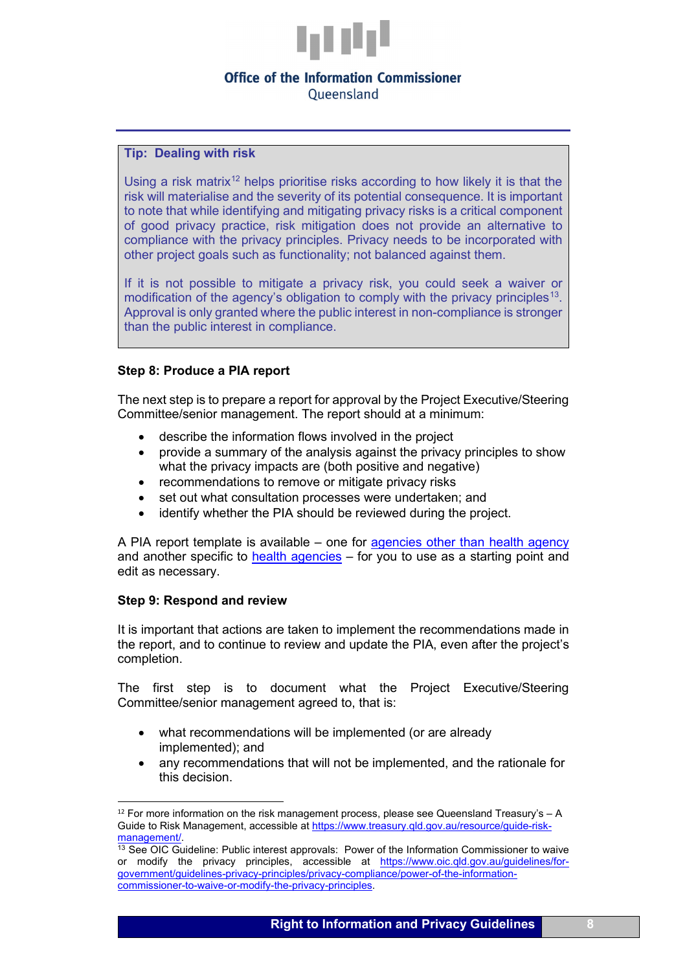

Oueensland

**Tip: Dealing with risk**

Using a risk matrix<sup>12</sup> helps prioritise risks according to how likely it is that the risk will materialise and the severity of its potential consequence. It is important to note that while identifying and mitigating privacy risks is a critical component of good privacy practice, risk mitigation does not provide an alternative to compliance with the privacy principles. Privacy needs to be incorporated with other project goals such as functionality; not balanced against them.

If it is not possible to mitigate a privacy risk, you could seek a waiver or modification of the agency's obligation to comply with the privacy principles<sup>[13](#page-7-1)</sup>. Approval is only granted where the public interest in non-compliance is stronger than the public interest in compliance.

# **Step 8: Produce a PIA report**

The next step is to prepare a report for approval by the Project Executive/Steering Committee/senior management. The report should at a minimum:

- describe the information flows involved in the project
- provide a summary of the analysis against the privacy principles to show what the privacy impacts are (both positive and negative)
- recommendations to remove or mitigate privacy risks
- set out what consultation processes were undertaken; and
- identify whether the PIA should be reviewed during the project.

A PIA report template is available – one for [agencies other than health agency](https://www.oic.qld.gov.au/__data/assets/word_doc/0009/37089/template-health-agencies-IPP-PIA-report-template.dotx) and another specific to [health agencies](https://www.oic.qld.gov.au/__data/assets/word_doc/0009/37089/template-health-agencies-IPP-PIA-report-template.dotx) – for you to use as a starting point and edit as necessary.

# **Step 9: Respond and review**

It is important that actions are taken to implement the recommendations made in the report, and to continue to review and update the PIA, even after the project's completion.

The first step is to document what the Project Executive/Steering Committee/senior management agreed to, that is:

- what recommendations will be implemented (or are already implemented); and
- any recommendations that will not be implemented, and the rationale for this decision.

<span id="page-7-0"></span> $12$  For more information on the risk management process, please see Queensland Treasury's  $-$  A Guide to Risk Management, accessible at https://www.treasury.qld.gov.au/resource/guide-risk-<br>management/.

<span id="page-7-1"></span> $13$  See OIC Guideline: Public interest approvals: Power of the Information Commissioner to waive or modify the privacy principles, accessible at [https://www.oic.qld.gov.au/guidelines/for](https://www.oic.qld.gov.au/guidelines/for-government/guidelines-privacy-principles/privacy-compliance/power-of-the-information-commissioner-to-waive-or-modify-the-privacy-principles)[government/guidelines-privacy-principles/privacy-compliance/power-of-the-information](https://www.oic.qld.gov.au/guidelines/for-government/guidelines-privacy-principles/privacy-compliance/power-of-the-information-commissioner-to-waive-or-modify-the-privacy-principles)[commissioner-to-waive-or-modify-the-privacy-principles.](https://www.oic.qld.gov.au/guidelines/for-government/guidelines-privacy-principles/privacy-compliance/power-of-the-information-commissioner-to-waive-or-modify-the-privacy-principles)